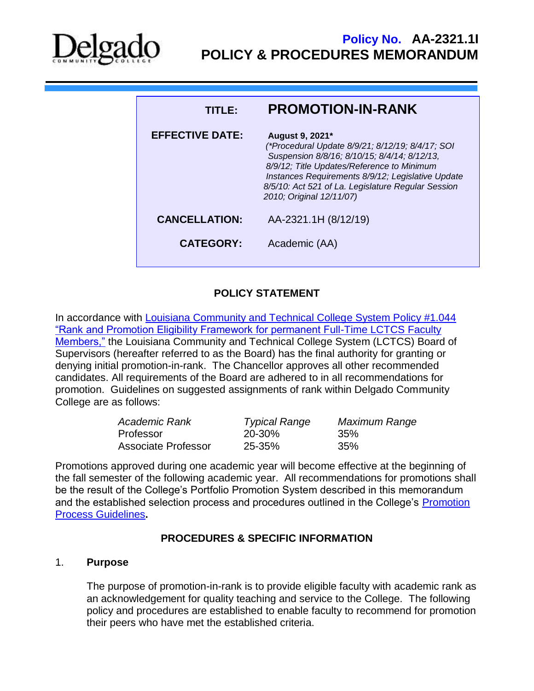

| TITI EA                | <b>PROMOTION-IN-RANK</b>                                                                                                                                                                                                                                                                                 |
|------------------------|----------------------------------------------------------------------------------------------------------------------------------------------------------------------------------------------------------------------------------------------------------------------------------------------------------|
| <b>EFFECTIVE DATE:</b> | August 9, 2021*<br>(*Procedural Update 8/9/21; 8/12/19; 8/4/17; SOI<br>Suspension 8/8/16; 8/10/15; 8/4/14; 8/12/13,<br>8/9/12; Title Updates/Reference to Minimum<br>Instances Requirements 8/9/12; Legislative Update<br>8/5/10: Act 521 of La. Legislature Regular Session<br>2010; Original 12/11/07) |
| <b>CANCELLATION:</b>   | AA-2321.1H (8/12/19)                                                                                                                                                                                                                                                                                     |
| <b>CATEGORY:</b>       | Academic (AA)                                                                                                                                                                                                                                                                                            |
|                        |                                                                                                                                                                                                                                                                                                          |

# **POLICY STATEMENT**

In accordance with [Louisiana Community and Technical College System Policy #1.044](https://campussuite-storage.s3.amazonaws.com/prod/1558543/91b64910-2d2e-11e8-8c09-0a7155647e8a/2234025/383311fc-7b96-11eb-87ed-0a927e2b74df/file/1.044%20Rank%20and%20Promotion%20(Revised%2012.9.20).pdf)  ["Rank and Promotion Eligibility Framework for permanent Full-Time LCTCS Faculty](https://campussuite-storage.s3.amazonaws.com/prod/1558543/91b64910-2d2e-11e8-8c09-0a7155647e8a/2234025/383311fc-7b96-11eb-87ed-0a927e2b74df/file/1.044%20Rank%20and%20Promotion%20(Revised%2012.9.20).pdf)  [Members,"](https://campussuite-storage.s3.amazonaws.com/prod/1558543/91b64910-2d2e-11e8-8c09-0a7155647e8a/2234025/383311fc-7b96-11eb-87ed-0a927e2b74df/file/1.044%20Rank%20and%20Promotion%20(Revised%2012.9.20).pdf) the Louisiana Community and Technical College System (LCTCS) Board of Supervisors (hereafter referred to as the Board) has the final authority for granting or denying initial promotion-in-rank. The Chancellor approves all other recommended candidates. All requirements of the Board are adhered to in all recommendations for promotion. Guidelines on suggested assignments of rank within Delgado Community College are as follows:

| Academic Rank              | <b>Typical Range</b> | Maximum Range |
|----------------------------|----------------------|---------------|
| Professor                  | 20-30%               | 35%           |
| <b>Associate Professor</b> | 25-35%               | 35%           |

Promotions approved during one academic year will become effective at the beginning of the fall semester of the following academic year. All recommendations for promotions shall be the result of the College's Portfolio Promotion System described in this memorandum and the established selection process and procedures outlined in the College's Promotion [Process Guidelines](http://docushare3.dcc.edu/docushare/dsweb/Get/Document-2820/2321-1I+Promotion+Process+Guidelines+update+Fall+2007.doc)**.** 

## **PROCEDURES & SPECIFIC INFORMATION**

#### 1. **Purpose**

The purpose of promotion-in-rank is to provide eligible faculty with academic rank as an acknowledgement for quality teaching and service to the College. The following policy and procedures are established to enable faculty to recommend for promotion their peers who have met the established criteria.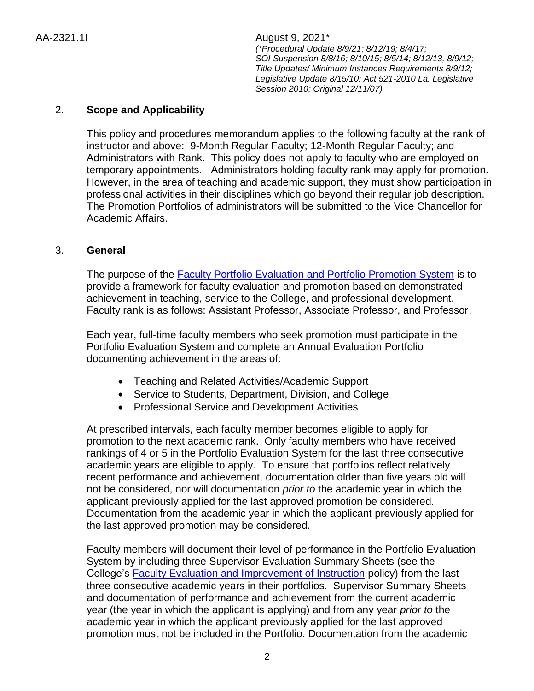# 2. **Scope and Applicability**

This policy and procedures memorandum applies to the following faculty at the rank of instructor and above: 9-Month Regular Faculty; 12-Month Regular Faculty; and Administrators with Rank. This policy does not apply to faculty who are employed on temporary appointments. Administrators holding faculty rank may apply for promotion. However, in the area of teaching and academic support, they must show participation in professional activities in their disciplines which go beyond their regular job description. The Promotion Portfolios of administrators will be submitted to the Vice Chancellor for Academic Affairs.

### 3. **General**

The purpose of the [Faculty Portfolio Evaluation and Portfolio Promotion System](http://docushare3.dcc.edu/docushare/dsweb/Get/File-440) is to provide a framework for faculty evaluation and promotion based on demonstrated achievement in teaching, service to the College, and professional development. Faculty rank is as follows: Assistant Professor, Associate Professor, and Professor.

Each year, full-time faculty members who seek promotion must participate in the Portfolio Evaluation System and complete an Annual Evaluation Portfolio documenting achievement in the areas of:

- Teaching and Related Activities/Academic Support
- Service to Students, Department, Division, and College
- Professional Service and Development Activities

At prescribed intervals, each faculty member becomes eligible to apply for promotion to the next academic rank. Only faculty members who have received rankings of 4 or 5 in the Portfolio Evaluation System for the last three consecutive academic years are eligible to apply. To ensure that portfolios reflect relatively recent performance and achievement, documentation older than five years old will not be considered, nor will documentation *prior to* the academic year in which the applicant previously applied for the last approved promotion be considered. Documentation from the academic year in which the applicant previously applied for the last approved promotion may be considered.

Faculty members will document their level of performance in the Portfolio Evaluation System by including three Supervisor Evaluation Summary Sheets (see the College's [Faculty Evaluation and Improvement of Instruction](http://docushare3.dcc.edu/docushare/dsweb/Get/File-440) policy) from the last three consecutive academic years in their portfolios. Supervisor Summary Sheets and documentation of performance and achievement from the current academic year (the year in which the applicant is applying) and from any year *prior to* the academic year in which the applicant previously applied for the last approved promotion must not be included in the Portfolio. Documentation from the academic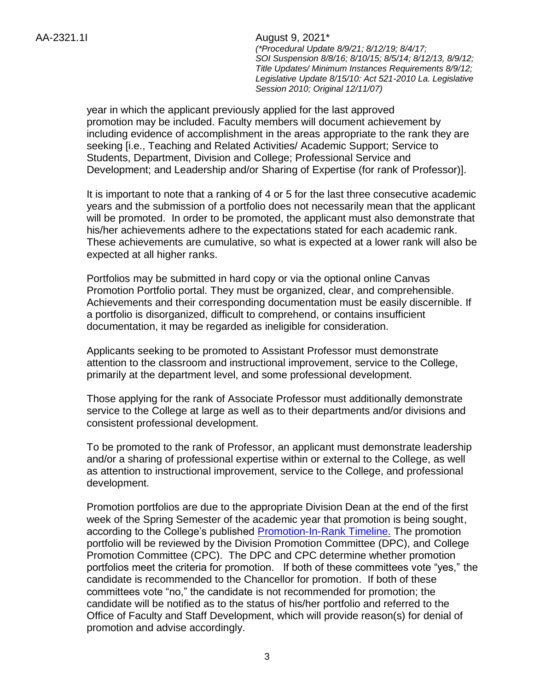> year in which the applicant previously applied for the last approved promotion may be included. Faculty members will document achievement by including evidence of accomplishment in the areas appropriate to the rank they are seeking [i.e., Teaching and Related Activities/ Academic Support; Service to Students, Department, Division and College; Professional Service and Development; and Leadership and/or Sharing of Expertise (for rank of Professor)].

It is important to note that a ranking of 4 or 5 for the last three consecutive academic years and the submission of a portfolio does not necessarily mean that the applicant will be promoted. In order to be promoted, the applicant must also demonstrate that his/her achievements adhere to the expectations stated for each academic rank. These achievements are cumulative, so what is expected at a lower rank will also be expected at all higher ranks.

Portfolios may be submitted in hard copy or via the optional online Canvas Promotion Portfolio portal. They must be organized, clear, and comprehensible. Achievements and their corresponding documentation must be easily discernible. If a portfolio is disorganized, difficult to comprehend, or contains insufficient documentation, it may be regarded as ineligible for consideration.

Applicants seeking to be promoted to Assistant Professor must demonstrate attention to the classroom and instructional improvement, service to the College, primarily at the department level, and some professional development.

Those applying for the rank of Associate Professor must additionally demonstrate service to the College at large as well as to their departments and/or divisions and consistent professional development.

To be promoted to the rank of Professor, an applicant must demonstrate leadership and/or a sharing of professional expertise within or external to the College, as well as attention to instructional improvement, service to the College, and professional development.

Promotion portfolios are due to the appropriate Division Dean at the end of the first week of the Spring Semester of the academic year that promotion is being sought, according to the College's published **Promotion-In-Rank Timeline**. The promotion portfolio will be reviewed by the Division Promotion Committee (DPC), and College Promotion Committee (CPC). The DPC and CPC determine whether promotion portfolios meet the criteria for promotion. If both of these committees vote "yes," the candidate is recommended to the Chancellor for promotion. If both of these committees vote "no," the candidate is not recommended for promotion; the candidate will be notified as to the status of his/her portfolio and referred to the Office of Faculty and Staff Development, which will provide reason(s) for denial of promotion and advise accordingly.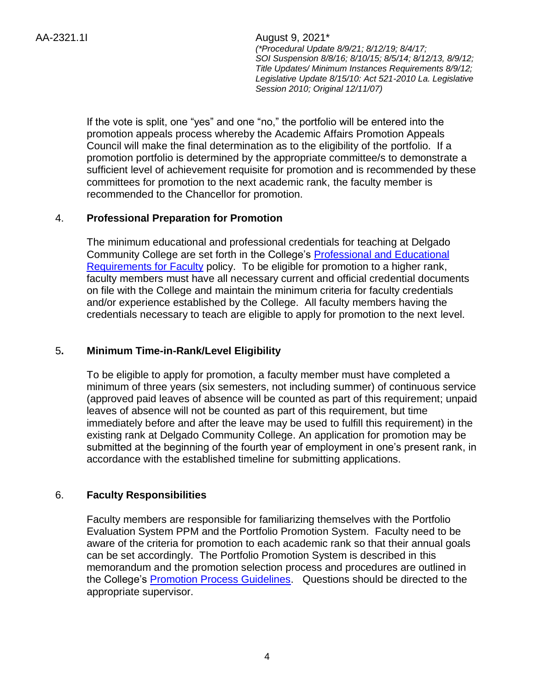> If the vote is split, one "yes" and one "no," the portfolio will be entered into the promotion appeals process whereby the Academic Affairs Promotion Appeals Council will make the final determination as to the eligibility of the portfolio. If a promotion portfolio is determined by the appropriate committee/s to demonstrate a sufficient level of achievement requisite for promotion and is recommended by these committees for promotion to the next academic rank, the faculty member is recommended to the Chancellor for promotion.

### 4. **Professional Preparation for Promotion**

The minimum educational and professional credentials for teaching at Delgado Community College are set forth in the College's [Professional and Educational](http://docushare3.dcc.edu/docushare/dsweb/Get/File-137/2122-4f.DOC)  [Requirements for Faculty](http://docushare3.dcc.edu/docushare/dsweb/Get/File-137/2122-4f.DOC) policy. To be eligible for promotion to a higher rank, faculty members must have all necessary current and official credential documents on file with the College and maintain the minimum criteria for faculty credentials and/or experience established by the College.All faculty members having the credentials necessary to teach are eligible to apply for promotion to the next level.

# 5**. Minimum Time-in-Rank/Level Eligibility**

To be eligible to apply for promotion, a faculty member must have completed a minimum of three years (six semesters, not including summer) of continuous service (approved paid leaves of absence will be counted as part of this requirement; unpaid leaves of absence will not be counted as part of this requirement, but time immediately before and after the leave may be used to fulfill this requirement) in the existing rank at Delgado Community College. An application for promotion may be submitted at the beginning of the fourth year of employment in one's present rank, in accordance with the established timeline for submitting applications.

### 6. **Faculty Responsibilities**

Faculty members are responsible for familiarizing themselves with the Portfolio Evaluation System PPM and the Portfolio Promotion System. Faculty need to be aware of the criteria for promotion to each academic rank so that their annual goals can be set accordingly. The Portfolio Promotion System is described in this memorandum and the promotion selection process and procedures are outlined in the College's [Promotion Process Guidelines.](http://docushare3.dcc.edu/docushare/dsweb/Get/Document-2820/2321-1I+Promotion+Process+Guidelines+update+Fall+2007.doc) Questions should be directed to the appropriate supervisor.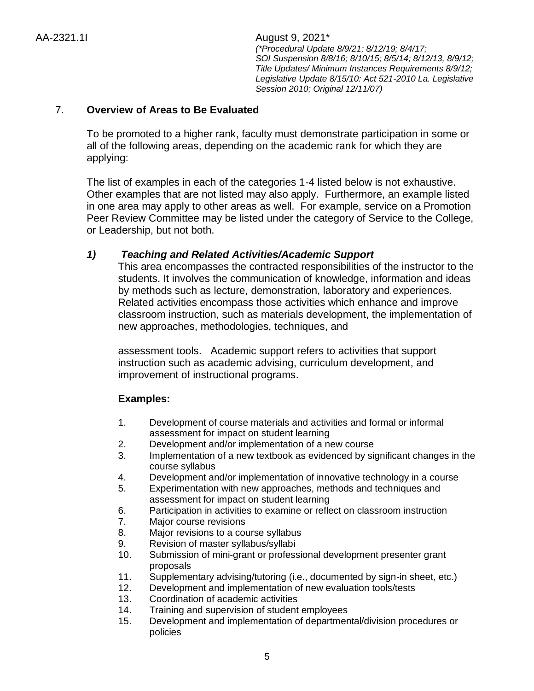### 7. **Overview of Areas to Be Evaluated**

To be promoted to a higher rank, faculty must demonstrate participation in some or all of the following areas, depending on the academic rank for which they are applying:

The list of examples in each of the categories 1-4 listed below is not exhaustive. Other examples that are not listed may also apply. Furthermore, an example listed in one area may apply to other areas as well. For example, service on a Promotion Peer Review Committee may be listed under the category of Service to the College, or Leadership, but not both.

### *1) Teaching and Related Activities/Academic Support*

This area encompasses the contracted responsibilities of the instructor to the students. It involves the communication of knowledge, information and ideas by methods such as lecture, demonstration, laboratory and experiences. Related activities encompass those activities which enhance and improve classroom instruction, such as materials development, the implementation of new approaches, methodologies, techniques, and

assessment tools. Academic support refers to activities that support instruction such as academic advising, curriculum development, and improvement of instructional programs.

### **Examples:**

- 1. Development of course materials and activities and formal or informal assessment for impact on student learning
- 2. Development and/or implementation of a new course
- 3. Implementation of a new textbook as evidenced by significant changes in the course syllabus
- 4. Development and/or implementation of innovative technology in a course
- 5. Experimentation with new approaches, methods and techniques and assessment for impact on student learning
- 6. Participation in activities to examine or reflect on classroom instruction
- 7. Major course revisions
- 8. Major revisions to a course syllabus
- 9. Revision of master syllabus/syllabi
- 10. Submission of mini-grant or professional development presenter grant proposals
- 11. Supplementary advising/tutoring (i.e., documented by sign-in sheet, etc.)
- 12. Development and implementation of new evaluation tools/tests
- 13. Coordination of academic activities
- 14. Training and supervision of student employees
- 15. Development and implementation of departmental/division procedures or policies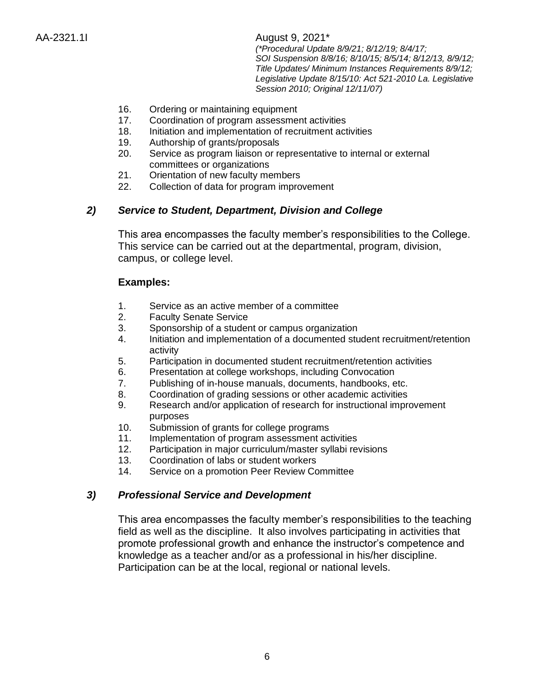- 16. Ordering or maintaining equipment
- 17. Coordination of program assessment activities
- 18. Initiation and implementation of recruitment activities
- 19. Authorship of grants/proposals
- 20. Service as program liaison or representative to internal or external committees or organizations
- 21. Orientation of new faculty members
- 22. Collection of data for program improvement

# *2) Service to Student, Department, Division and College*

This area encompasses the faculty member's responsibilities to the College. This service can be carried out at the departmental, program, division, campus, or college level.

### **Examples:**

- 1. Service as an active member of a committee
- 2. Faculty Senate Service
- 3. Sponsorship of a student or campus organization
- 4. Initiation and implementation of a documented student recruitment/retention activity
- 5. Participation in documented student recruitment/retention activities
- 6. Presentation at college workshops, including Convocation
- 7. Publishing of in-house manuals, documents, handbooks, etc.
- 8. Coordination of grading sessions or other academic activities
- 9. Research and/or application of research for instructional improvement purposes
- 10. Submission of grants for college programs
- 11. Implementation of program assessment activities
- 12. Participation in major curriculum/master syllabi revisions
- 13. Coordination of labs or student workers
- 14. Service on a promotion Peer Review Committee

### *3) Professional Service and Development*

This area encompasses the faculty member's responsibilities to the teaching field as well as the discipline. It also involves participating in activities that promote professional growth and enhance the instructor's competence and knowledge as a teacher and/or as a professional in his/her discipline. Participation can be at the local, regional or national levels.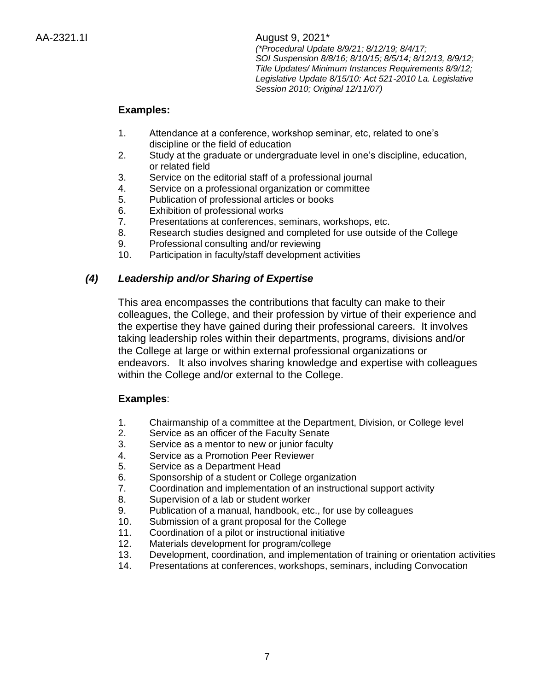## **Examples:**

- 1. Attendance at a conference, workshop seminar, etc, related to one's discipline or the field of education
- 2. Study at the graduate or undergraduate level in one's discipline, education, or related field
- 3. Service on the editorial staff of a professional journal
- 4. Service on a professional organization or committee
- 5. Publication of professional articles or books
- 6. Exhibition of professional works
- 7. Presentations at conferences, seminars, workshops, etc.
- 8. Research studies designed and completed for use outside of the College
- 9. Professional consulting and/or reviewing
- 10. Participation in faculty/staff development activities

# *(4) Leadership and/or Sharing of Expertise*

This area encompasses the contributions that faculty can make to their colleagues, the College, and their profession by virtue of their experience and the expertise they have gained during their professional careers. It involves taking leadership roles within their departments, programs, divisions and/or the College at large or within external professional organizations or endeavors. It also involves sharing knowledge and expertise with colleagues within the College and/or external to the College.

### **Examples**:

- 1. Chairmanship of a committee at the Department, Division, or College level
- 2. Service as an officer of the Faculty Senate
- 3. Service as a mentor to new or junior faculty
- 4. Service as a Promotion Peer Reviewer
- 5. Service as a Department Head
- 6. Sponsorship of a student or College organization
- 7. Coordination and implementation of an instructional support activity
- 8. Supervision of a lab or student worker
- 9. Publication of a manual, handbook, etc., for use by colleagues
- 10. Submission of a grant proposal for the College
- 11. Coordination of a pilot or instructional initiative
- 12. Materials development for program/college
- 13. Development, coordination, and implementation of training or orientation activities
- 14. Presentations at conferences, workshops, seminars, including Convocation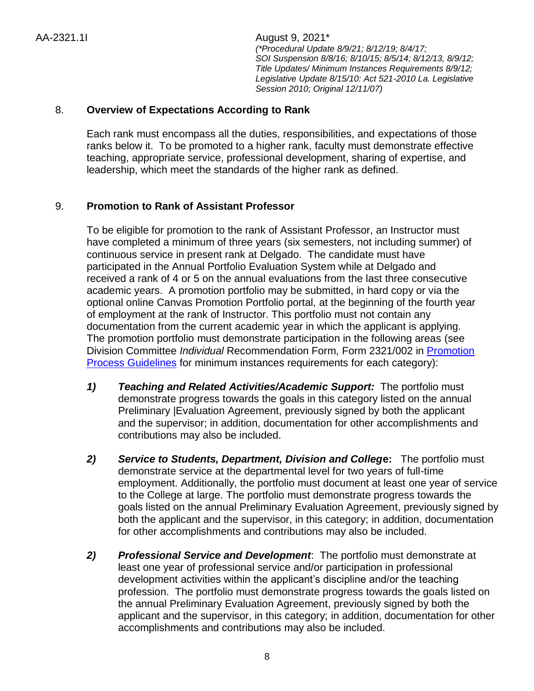### 8. **Overview of Expectations According to Rank**

Each rank must encompass all the duties, responsibilities, and expectations of those ranks below it. To be promoted to a higher rank, faculty must demonstrate effective teaching, appropriate service, professional development, sharing of expertise, and leadership, which meet the standards of the higher rank as defined.

### 9. **Promotion to Rank of Assistant Professor**

To be eligible for promotion to the rank of Assistant Professor, an Instructor must have completed a minimum of three years (six semesters, not including summer) of continuous service in present rank at Delgado. The candidate must have participated in the Annual Portfolio Evaluation System while at Delgado and received a rank of 4 or 5 on the annual evaluations from the last three consecutive academic years. A promotion portfolio may be submitted, in hard copy or via the optional online Canvas Promotion Portfolio portal, at the beginning of the fourth year of employment at the rank of Instructor. This portfolio must not contain any documentation from the current academic year in which the applicant is applying. The promotion portfolio must demonstrate participation in the following areas (see Division Committee *Individual* Recommendation Form, Form 2321/002 in [Promotion](http://docushare3.dcc.edu/docushare/dsweb/Get/Document-2820/2321-1I+Promotion+Process+Guidelines+update+Fall+2007.doc)  [Process Guidelines](http://docushare3.dcc.edu/docushare/dsweb/Get/Document-2820/2321-1I+Promotion+Process+Guidelines+update+Fall+2007.doc) for minimum instances requirements for each category):

- *1) Teaching and Related Activities/Academic Support:* The portfolio must demonstrate progress towards the goals in this category listed on the annual Preliminary |Evaluation Agreement, previously signed by both the applicant and the supervisor; in addition, documentation for other accomplishments and contributions may also be included.
- *2) Service to Students, Department, Division and Colleg***e:** The portfolio must demonstrate service at the departmental level for two years of full-time employment. Additionally, the portfolio must document at least one year of service to the College at large. The portfolio must demonstrate progress towards the goals listed on the annual Preliminary Evaluation Agreement, previously signed by both the applicant and the supervisor, in this category; in addition, documentation for other accomplishments and contributions may also be included.
- *2) Professional Service and Development*: The portfolio must demonstrate at least one year of professional service and/or participation in professional development activities within the applicant's discipline and/or the teaching profession.The portfolio must demonstrate progress towards the goals listed on the annual Preliminary Evaluation Agreement, previously signed by both the applicant and the supervisor, in this category; in addition, documentation for other accomplishments and contributions may also be included.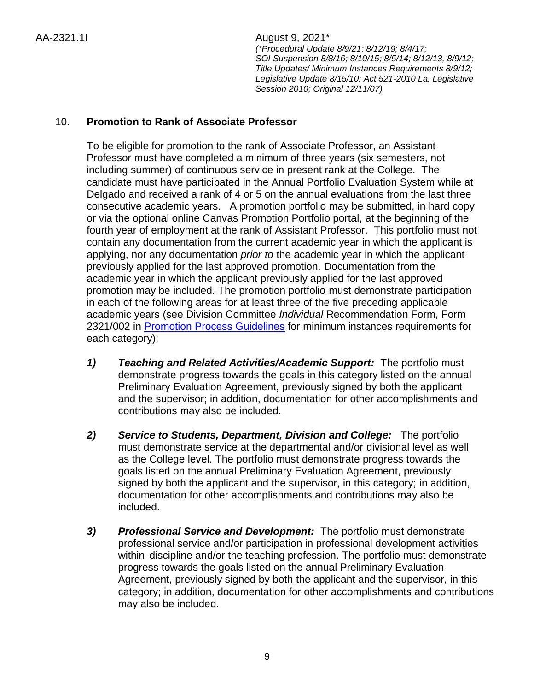# 10. **Promotion to Rank of Associate Professor**

To be eligible for promotion to the rank of Associate Professor, an Assistant Professor must have completed a minimum of three years (six semesters, not including summer) of continuous service in present rank at the College. The candidate must have participated in the Annual Portfolio Evaluation System while at Delgado and received a rank of 4 or 5 on the annual evaluations from the last three consecutive academic years. A promotion portfolio may be submitted, in hard copy or via the optional online Canvas Promotion Portfolio portal, at the beginning of the fourth year of employment at the rank of Assistant Professor. This portfolio must not contain any documentation from the current academic year in which the applicant is applying, nor any documentation *prior to* the academic year in which the applicant previously applied for the last approved promotion. Documentation from the academic year in which the applicant previously applied for the last approved promotion may be included. The promotion portfolio must demonstrate participation in each of the following areas for at least three of the five preceding applicable academic years (see Division Committee *Individual* Recommendation Form, Form 2321/002 in [Promotion Process Guidelines](http://docushare3.dcc.edu/docushare/dsweb/Get/Document-2820/2321-1I+Promotion+Process+Guidelines+update+Fall+2007.doc) for minimum instances requirements for each category):

- *1) Teaching and Related Activities/Academic Support:* The portfolio must demonstrate progress towards the goals in this category listed on the annual Preliminary Evaluation Agreement, previously signed by both the applicant and the supervisor; in addition, documentation for other accomplishments and contributions may also be included.
- *2) Service to Students, Department, Division and College:* The portfolio must demonstrate service at the departmental and/or divisional level as well as the College level. The portfolio must demonstrate progress towards the goals listed on the annual Preliminary Evaluation Agreement, previously signed by both the applicant and the supervisor, in this category; in addition, documentation for other accomplishments and contributions may also be included.
- *3) Professional Service and Development:* The portfolio must demonstrate professional service and/or participation in professional development activities within discipline and/or the teaching profession. The portfolio must demonstrate progress towards the goals listed on the annual Preliminary Evaluation Agreement, previously signed by both the applicant and the supervisor, in this category; in addition, documentation for other accomplishments and contributions may also be included.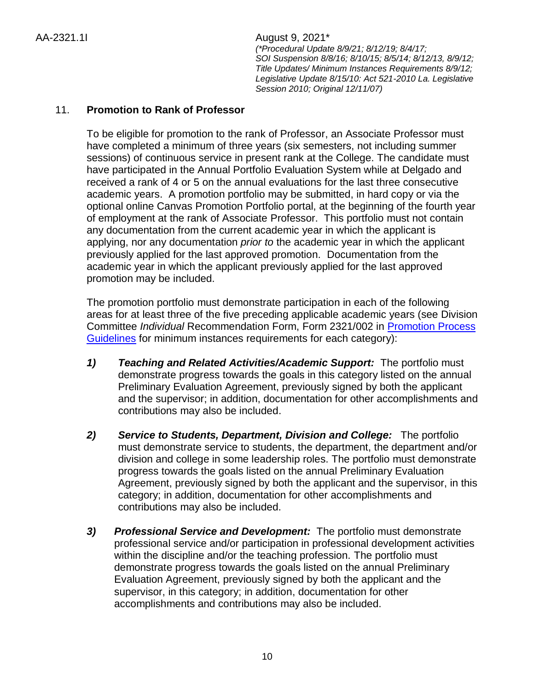# 11. **Promotion to Rank of Professor**

To be eligible for promotion to the rank of Professor, an Associate Professor must have completed a minimum of three years (six semesters, not including summer sessions) of continuous service in present rank at the College. The candidate must have participated in the Annual Portfolio Evaluation System while at Delgado and received a rank of 4 or 5 on the annual evaluations for the last three consecutive academic years. A promotion portfolio may be submitted, in hard copy or via the optional online Canvas Promotion Portfolio portal, at the beginning of the fourth year of employment at the rank of Associate Professor. This portfolio must not contain any documentation from the current academic year in which the applicant is applying, nor any documentation *prior to* the academic year in which the applicant previously applied for the last approved promotion. Documentation from the academic year in which the applicant previously applied for the last approved promotion may be included.

The promotion portfolio must demonstrate participation in each of the following areas for at least three of the five preceding applicable academic years (see Division Committee *Individual* Recommendation Form, Form 2321/002 in [Promotion Process](http://docushare3.dcc.edu/docushare/dsweb/Get/Document-2820/2321-1I+Promotion+Process+Guidelines+update+Fall+2007.doc)  [Guidelines](http://docushare3.dcc.edu/docushare/dsweb/Get/Document-2820/2321-1I+Promotion+Process+Guidelines+update+Fall+2007.doc) for minimum instances requirements for each category):

- *1) Teaching and Related Activities/Academic Support:* The portfolio must demonstrate progress towards the goals in this category listed on the annual Preliminary Evaluation Agreement, previously signed by both the applicant and the supervisor; in addition, documentation for other accomplishments and contributions may also be included.
- *2) Service to Students, Department, Division and College:* The portfolio must demonstrate service to students, the department, the department and/or division and college in some leadership roles. The portfolio must demonstrate progress towards the goals listed on the annual Preliminary Evaluation Agreement, previously signed by both the applicant and the supervisor, in this category; in addition, documentation for other accomplishments and contributions may also be included.
- *3) Professional Service and Development:* The portfolio must demonstrate professional service and/or participation in professional development activities within the discipline and/or the teaching profession. The portfolio must demonstrate progress towards the goals listed on the annual Preliminary Evaluation Agreement, previously signed by both the applicant and the supervisor, in this category; in addition, documentation for other accomplishments and contributions may also be included.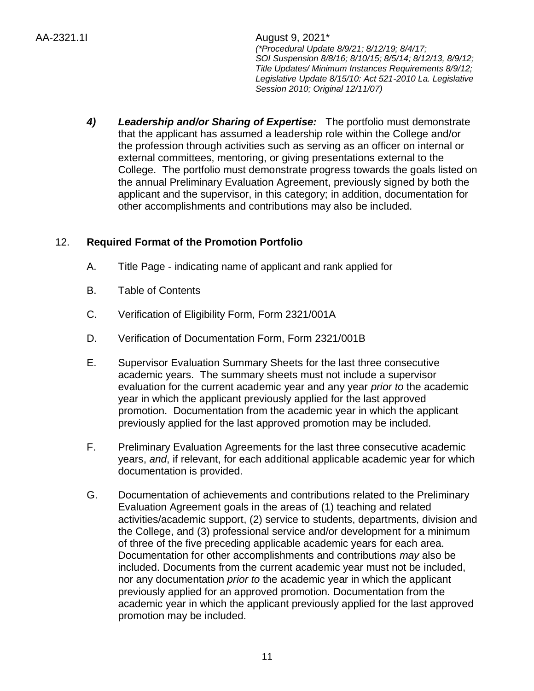> *4) Leadership and/or Sharing of Expertise:*The portfolio must demonstrate that the applicant has assumed a leadership role within the College and/or the profession through activities such as serving as an officer on internal or external committees, mentoring, or giving presentations external to the College. The portfolio must demonstrate progress towards the goals listed on the annual Preliminary Evaluation Agreement, previously signed by both the applicant and the supervisor, in this category; in addition, documentation for other accomplishments and contributions may also be included.

# 12. **Required Format of the Promotion Portfolio**

- A. Title Page indicating name of applicant and rank applied for
- B. Table of Contents
- C. Verification of Eligibility Form, Form 2321/001A
- D. Verification of Documentation Form, Form 2321/001B
- E. Supervisor Evaluation Summary Sheets for the last three consecutive academic years. The summary sheets must not include a supervisor evaluation for the current academic year and any year *prior to* the academic year in which the applicant previously applied for the last approved promotion. Documentation from the academic year in which the applicant previously applied for the last approved promotion may be included.
- F. Preliminary Evaluation Agreements for the last three consecutive academic years, *and*, if relevant, for each additional applicable academic year for which documentation is provided.
- G. Documentation of achievements and contributions related to the Preliminary Evaluation Agreement goals in the areas of (1) teaching and related activities/academic support, (2) service to students, departments, division and the College, and (3) professional service and/or development for a minimum of three of the five preceding applicable academic years for each area. Documentation for other accomplishments and contributions *may* also be included. Documents from the current academic year must not be included, nor any documentation *prior to* the academic year in which the applicant previously applied for an approved promotion. Documentation from the academic year in which the applicant previously applied for the last approved promotion may be included.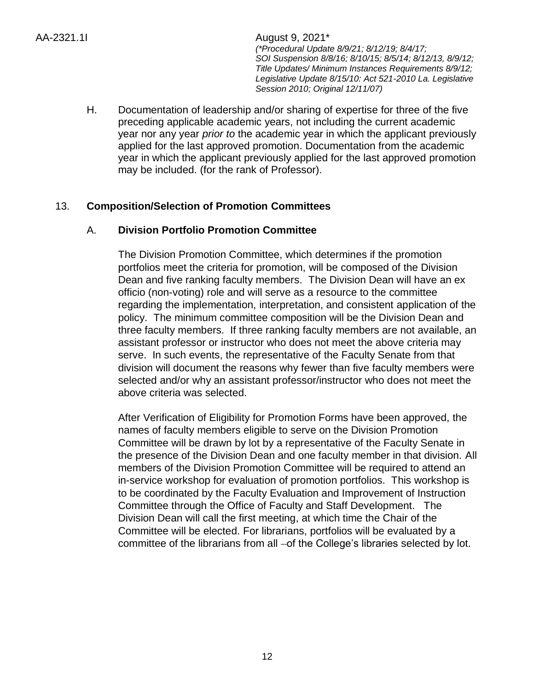> H. Documentation of leadership and/or sharing of expertise for three of the five preceding applicable academic years, not including the current academic year nor any year *prior to* the academic year in which the applicant previously applied for the last approved promotion. Documentation from the academic year in which the applicant previously applied for the last approved promotion may be included. (for the rank of Professor).

# 13. **Composition/Selection of Promotion Committees**

### A. **Division Portfolio Promotion Committee**

The Division Promotion Committee, which determines if the promotion portfolios meet the criteria for promotion, will be composed of the Division Dean and five ranking faculty members. The Division Dean will have an ex officio (non-voting) role and will serve as a resource to the committee regarding the implementation, interpretation, and consistent application of the policy. The minimum committee composition will be the Division Dean and three faculty members. If three ranking faculty members are not available, an assistant professor or instructor who does not meet the above criteria may serve. In such events, the representative of the Faculty Senate from that division will document the reasons why fewer than five faculty members were selected and/or why an assistant professor/instructor who does not meet the above criteria was selected.

After Verification of Eligibility for Promotion Forms have been approved, the names of faculty members eligible to serve on the Division Promotion Committee will be drawn by lot by a representative of the Faculty Senate in the presence of the Division Dean and one faculty member in that division. All members of the Division Promotion Committee will be required to attend an in-service workshop for evaluation of promotion portfolios. This workshop is to be coordinated by the Faculty Evaluation and Improvement of Instruction Committee through the Office of Faculty and Staff Development. The Division Dean will call the first meeting, at which time the Chair of the Committee will be elected. For librarians, portfolios will be evaluated by a committee of the librarians from all -of the College's libraries selected by lot.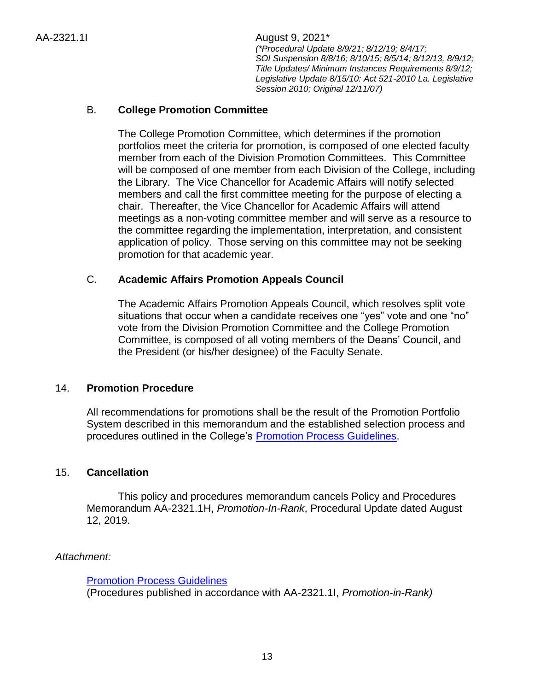## B. **College Promotion Committee**

The College Promotion Committee, which determines if the promotion portfolios meet the criteria for promotion, is composed of one elected faculty member from each of the Division Promotion Committees. This Committee will be composed of one member from each Division of the College, including the Library. The Vice Chancellor for Academic Affairs will notify selected members and call the first committee meeting for the purpose of electing a chair. Thereafter, the Vice Chancellor for Academic Affairs will attend meetings as a non-voting committee member and will serve as a resource to the committee regarding the implementation, interpretation, and consistent application of policy. Those serving on this committee may not be seeking promotion for that academic year.

### C. **Academic Affairs Pr***o***motion Appeals Council**

The Academic Affairs Promotion Appeals Council, which resolves split vote situations that occur when a candidate receives one "yes" vote and one "no" vote from the Division Promotion Committee and the College Promotion Committee, is composed of all voting members of the Deans' Council, and the President (or his/her designee) of the Faculty Senate.

### 14. **Promotion Procedure**

All recommendations for promotions shall be the result of the Promotion Portfolio System described in this memorandum and the established selection process and procedures outlined in the College's **Promotion Process Guidelines**.

### 15. **Cancellation**

This policy and procedures memorandum cancels Policy and Procedures Memorandum AA-2321.1H, *Promotion-In-Rank*, Procedural Update dated August 12, 2019.

### *Attachment:*

[Promotion Process Guidelines](http://docushare3.dcc.edu/docushare/dsweb/Get/Document-2820/2321-1I+Promotion+Process+Guidelines+update+Fall+2007.doc)

(Procedures published in accordance with AA-2321.1I, *Promotion-in-Rank)*